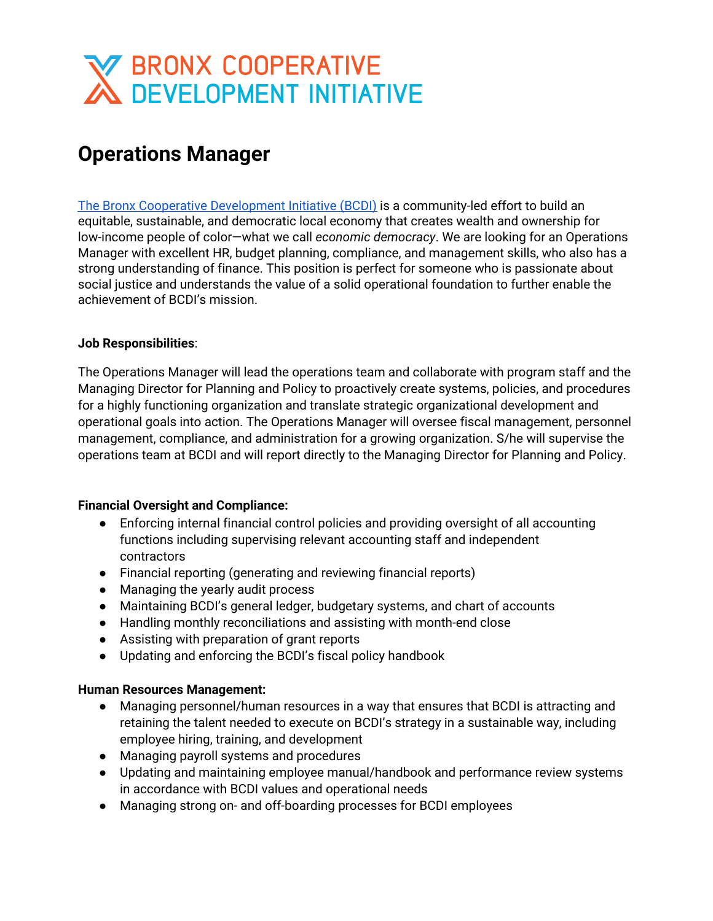# **X BRONX COOPERATIVE<br>A DEVELOPMENT INITIATIVE**

# **Operations Manager**

The Bronx Cooperative [Development](http://bcdi.nyc/) Initiative (BCDI) is a community-led effort to build an equitable, sustainable, and democratic local economy that creates wealth and ownership for low-income people of color—what we call *economic democracy*. We are looking for an Operations Manager with excellent HR, budget planning, compliance, and management skills, who also has a strong understanding of finance. This position is perfect for someone who is passionate about social justice and understands the value of a solid operational foundation to further enable the achievement of BCDI's mission.

#### **Job Responsibilities**:

The Operations Manager will lead the operations team and collaborate with program staff and the Managing Director for Planning and Policy to proactively create systems, policies, and procedures for a highly functioning organization and translate strategic organizational development and operational goals into action. The Operations Manager will oversee fiscal management, personnel management, compliance, and administration for a growing organization. S/he will supervise the operations team at BCDI and will report directly to the Managing Director for Planning and Policy.

#### **Financial Oversight and Compliance:**

- Enforcing internal financial control policies and providing oversight of all accounting functions including supervising relevant accounting staff and independent contractors
- Financial reporting (generating and reviewing financial reports)
- Managing the yearly audit process
- Maintaining BCDI's general ledger, budgetary systems, and chart of accounts
- Handling monthly reconciliations and assisting with month-end close
- Assisting with preparation of grant reports
- Updating and enforcing the BCDI's fiscal policy handbook

## **Human Resources Management:**

- Managing personnel/human resources in a way that ensures that BCDI is attracting and retaining the talent needed to execute on BCDI's strategy in a sustainable way, including employee hiring, training, and development
- Managing payroll systems and procedures
- Updating and maintaining employee manual/handbook and performance review systems in accordance with BCDI values and operational needs
- Managing strong on- and off-boarding processes for BCDI employees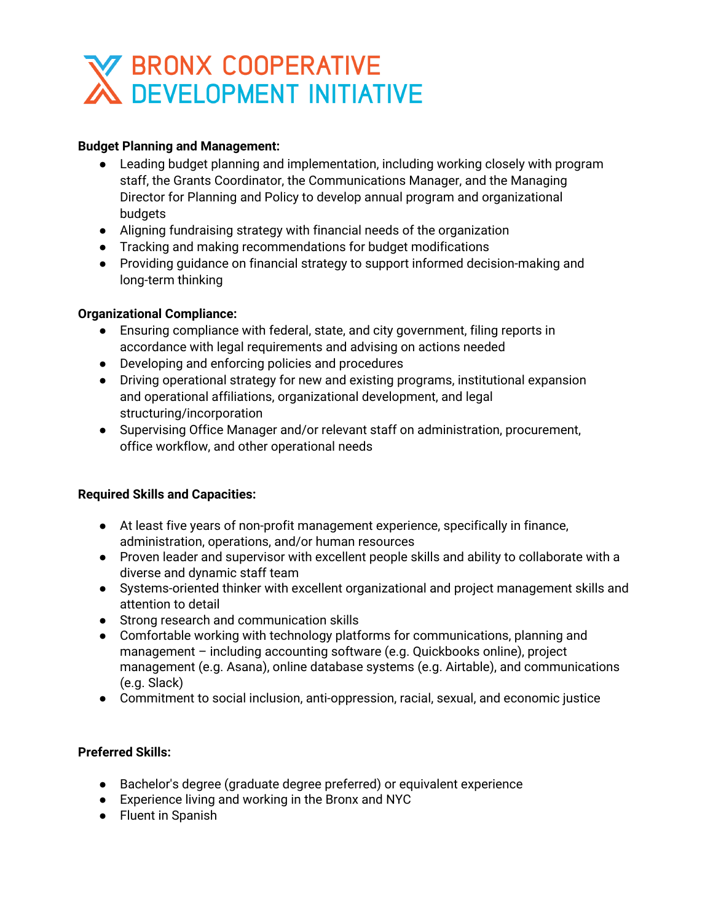# W BRONX COOPERATIVE<br>A DEVELOPMENT INITIATIVE

#### **Budget Planning and Management:**

- Leading budget planning and implementation, including working closely with program staff, the Grants Coordinator, the Communications Manager, and the Managing Director for Planning and Policy to develop annual program and organizational budgets
- Aligning fundraising strategy with financial needs of the organization
- Tracking and making recommendations for budget modifications
- Providing guidance on financial strategy to support informed decision-making and long-term thinking

## **Organizational Compliance:**

- Ensuring compliance with federal, state, and city government, filing reports in accordance with legal requirements and advising on actions needed
- Developing and enforcing policies and procedures
- Driving operational strategy for new and existing programs, institutional expansion and operational affiliations, organizational development, and legal structuring/incorporation
- Supervising Office Manager and/or relevant staff on administration, procurement, office workflow, and other operational needs

## **Required Skills and Capacities:**

- At least five years of non-profit management experience, specifically in finance, administration, operations, and/or human resources
- Proven leader and supervisor with excellent people skills and ability to collaborate with a diverse and dynamic staff team
- Systems-oriented thinker with excellent organizational and project management skills and attention to detail
- Strong research and communication skills
- Comfortable working with technology platforms for communications, planning and management – including accounting software (e.g. Quickbooks online), project management (e.g. Asana), online database systems (e.g. Airtable), and communications (e.g. Slack)
- Commitment to social inclusion, anti-oppression, racial, sexual, and economic justice

## **Preferred Skills:**

- Bachelor's degree (graduate degree preferred) or equivalent experience
- Experience living and working in the Bronx and NYC
- Fluent in Spanish